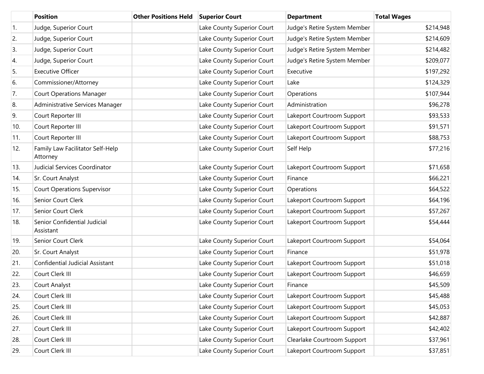|     | <b>Position</b>                              | <b>Other Positions Held</b> | <b>Superior Court</b>      | <b>Department</b>            | <b>Total Wages</b> |
|-----|----------------------------------------------|-----------------------------|----------------------------|------------------------------|--------------------|
| 1.  | Judge, Superior Court                        |                             | Lake County Superior Court | Judge's Retire System Member | \$214,948          |
| 2.  | Judge, Superior Court                        |                             | Lake County Superior Court | Judge's Retire System Member | \$214,609          |
| 3.  | Judge, Superior Court                        |                             | Lake County Superior Court | Judge's Retire System Member | \$214,482          |
| 4.  | Judge, Superior Court                        |                             | Lake County Superior Court | Judge's Retire System Member | \$209,077          |
| 5.  | <b>Executive Officer</b>                     |                             | Lake County Superior Court | Executive                    | \$197,292          |
| 6.  | Commissioner/Attorney                        |                             | Lake County Superior Court | Lake                         | \$124,329          |
| 7.  | <b>Court Operations Manager</b>              |                             | Lake County Superior Court | Operations                   | \$107,944          |
| 8.  | Administrative Services Manager              |                             | Lake County Superior Court | Administration               | \$96,278           |
| 9.  | Court Reporter III                           |                             | Lake County Superior Court | Lakeport Courtroom Support   | \$93,533           |
| 10. | Court Reporter III                           |                             | Lake County Superior Court | Lakeport Courtroom Support   | \$91,571           |
| 11. | Court Reporter III                           |                             | Lake County Superior Court | Lakeport Courtroom Support   | \$88,753           |
| 12. | Family Law Facilitator Self-Help<br>Attorney |                             | Lake County Superior Court | Self Help                    | \$77,216           |
| 13. | Judicial Services Coordinator                |                             | Lake County Superior Court | Lakeport Courtroom Support   | \$71,658           |
| 14. | Sr. Court Analyst                            |                             | Lake County Superior Court | Finance                      | \$66,221           |
| 15. | <b>Court Operations Supervisor</b>           |                             | Lake County Superior Court | Operations                   | \$64,522           |
| 16. | Senior Court Clerk                           |                             | Lake County Superior Court | Lakeport Courtroom Support   | \$64,196           |
| 17. | Senior Court Clerk                           |                             | Lake County Superior Court | Lakeport Courtroom Support   | \$57,267           |
| 18. | Senior Confidential Judicial<br>Assistant    |                             | Lake County Superior Court | Lakeport Courtroom Support   | \$54,444           |
| 19. | Senior Court Clerk                           |                             | Lake County Superior Court | Lakeport Courtroom Support   | \$54,064           |
| 20. | Sr. Court Analyst                            |                             | Lake County Superior Court | Finance                      | \$51,978           |
| 21. | <b>Confidential Judicial Assistant</b>       |                             | Lake County Superior Court | Lakeport Courtroom Support   | \$51,018           |
| 22. | Court Clerk III                              |                             | Lake County Superior Court | Lakeport Courtroom Support   | \$46,659           |
| 23. | Court Analyst                                |                             | Lake County Superior Court | Finance                      | \$45,509           |
| 24. | Court Clerk III                              |                             | Lake County Superior Court | Lakeport Courtroom Support   | \$45,488           |
| 25. | Court Clerk III                              |                             | Lake County Superior Court | Lakeport Courtroom Support   | \$45,053           |
| 26. | Court Clerk III                              |                             | Lake County Superior Court | Lakeport Courtroom Support   | \$42,887           |
| 27. | Court Clerk III                              |                             | Lake County Superior Court | Lakeport Courtroom Support   | \$42,402           |
| 28. | Court Clerk III                              |                             | Lake County Superior Court | Clearlake Courtroom Support  | \$37,961           |
| 29. | Court Clerk III                              |                             | Lake County Superior Court | Lakeport Courtroom Support   | \$37,851           |